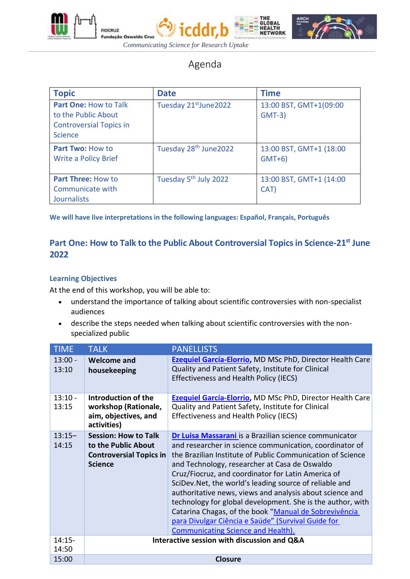

**FIOCRUZ** 





Agenda

| <b>Topic</b>                                                                                            | <b>Date</b>                       | <b>Time</b>                        |
|---------------------------------------------------------------------------------------------------------|-----------------------------------|------------------------------------|
| <b>Part One: How to Talk</b><br>to the Public About<br><b>Controversial Topics in</b><br><b>Science</b> | Tuesday 21st June 2022            | 13:00 BST, GMT+1(09:00<br>$GMT-3)$ |
| <b>Part Two: How to</b><br><b>Write a Policy Brief</b>                                                  | Tuesday 28 <sup>th</sup> June2022 | 13:00 BST, GMT+1 (18:00<br>$GMT+6$ |
| <b>Part Three: How to</b><br>Communicate with<br><b>Journalists</b>                                     | Tuesday 5 <sup>th</sup> July 2022 | 13:00 BST, GMT+1 (14:00<br>CAT)    |

 **We will have live interpretations in the following languages: Español, Français, Português**

## **Part One: How to Talk to the Public About Controversial Topics in Science-21st June 2022**

#### **Learning Objectives**

At the end of this workshop, you will be able to:

- understand the importance of talking about scientific controversies with non-specialist audiences
- describe the steps needed when talking about scientific controversies with the nonspecialized public

| <b>TIME</b>        | <b>TALK</b>                                                                                            | <b>PANELLISTS</b>                                                                                                                                                                                                                                                                                                                                                                                                                                                                                                                                                                                                                       |
|--------------------|--------------------------------------------------------------------------------------------------------|-----------------------------------------------------------------------------------------------------------------------------------------------------------------------------------------------------------------------------------------------------------------------------------------------------------------------------------------------------------------------------------------------------------------------------------------------------------------------------------------------------------------------------------------------------------------------------------------------------------------------------------------|
| $13:00 -$<br>13:10 | <b>Welcome and</b><br>housekeeping                                                                     | <b>Ezequiel García-Elorrio, MD MSc PhD, Director Health Care</b><br>Quality and Patient Safety, Institute for Clinical<br><b>Effectiveness and Health Policy (IECS)</b>                                                                                                                                                                                                                                                                                                                                                                                                                                                                 |
| $13:10 -$<br>13:15 | Introduction of the<br>workshop (Rationale,<br>aim, objectives, and<br>activities)                     | <b>Ezequiel García-Elorrio, MD MSc PhD, Director Health Care</b><br>Quality and Patient Safety, Institute for Clinical<br><b>Effectiveness and Health Policy (IECS)</b>                                                                                                                                                                                                                                                                                                                                                                                                                                                                 |
| $13:15-$<br>14:15  | <b>Session: How to Talk</b><br>to the Public About<br><b>Controversial Topics in</b><br><b>Science</b> | Dr Luisa Massarani is a Brazilian science communicator<br>and researcher in science communication, coordinator of<br>the Brazilian Institute of Public Communication of Science<br>and Technology, researcher at Casa de Oswaldo<br>Cruz/Fiocruz, and coordinator for Latin America of<br>SciDev. Net, the world's leading source of reliable and<br>authoritative news, views and analysis about science and<br>technology for global development. She is the author, with<br>Catarina Chagas, of the book "Manual de Sobrevivência<br>para Divulgar Ciência e Saúde" (Survival Guide for<br><b>Communicating Science and Health).</b> |
| $14:15-$<br>14:50  |                                                                                                        | Interactive session with discussion and Q&A                                                                                                                                                                                                                                                                                                                                                                                                                                                                                                                                                                                             |
| 15:00              |                                                                                                        | <b>Closure</b>                                                                                                                                                                                                                                                                                                                                                                                                                                                                                                                                                                                                                          |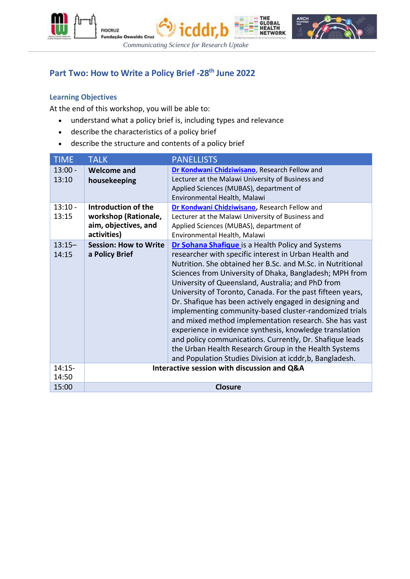





# **Part Two: How to Write a Policy Brief -28th June 2022**

#### **Learning Objectives**

At the end of this workshop, you will be able to:

- understand what a policy brief is, including types and relevance
- describe the characteristics of a policy brief
- describe the structure and contents of a policy brief

| <b>TIME</b>        | <b>TALK</b>                                                                        | <b>PANELLISTS</b>                                                                                                                                                                                                                                                                                                                                                                                                                                                                                                                                                                                                                                                                                                                                                                 |
|--------------------|------------------------------------------------------------------------------------|-----------------------------------------------------------------------------------------------------------------------------------------------------------------------------------------------------------------------------------------------------------------------------------------------------------------------------------------------------------------------------------------------------------------------------------------------------------------------------------------------------------------------------------------------------------------------------------------------------------------------------------------------------------------------------------------------------------------------------------------------------------------------------------|
| $13:00 -$<br>13:10 | <b>Welcome and</b><br>housekeeping                                                 | Dr Kondwani Chidziwisano, Research Fellow and<br>Lecturer at the Malawi University of Business and<br>Applied Sciences (MUBAS), department of<br>Environmental Health, Malawi                                                                                                                                                                                                                                                                                                                                                                                                                                                                                                                                                                                                     |
| $13:10 -$<br>13:15 | Introduction of the<br>workshop (Rationale,<br>aim, objectives, and<br>activities) | Dr Kondwani Chidziwisano, Research Fellow and<br>Lecturer at the Malawi University of Business and<br>Applied Sciences (MUBAS), department of<br>Environmental Health, Malawi                                                                                                                                                                                                                                                                                                                                                                                                                                                                                                                                                                                                     |
| $13:15-$<br>14:15  | <b>Session: How to Write</b><br>a Policy Brief                                     | Dr Sohana Shafique is a Health Policy and Systems<br>researcher with specific interest in Urban Health and<br>Nutrition. She obtained her B.Sc. and M.Sc. in Nutritional<br>Sciences from University of Dhaka, Bangladesh; MPH from<br>University of Queensland, Australia; and PhD from<br>University of Toronto, Canada. For the past fifteen years,<br>Dr. Shafique has been actively engaged in designing and<br>implementing community-based cluster-randomized trials<br>and mixed method implementation research. She has vast<br>experience in evidence synthesis, knowledge translation<br>and policy communications. Currently, Dr. Shafique leads<br>the Urban Health Research Group in the Health Systems<br>and Population Studies Division at icddr, b, Bangladesh. |
| $14:15 -$          |                                                                                    | Interactive session with discussion and Q&A                                                                                                                                                                                                                                                                                                                                                                                                                                                                                                                                                                                                                                                                                                                                       |
| 14:50<br>15:00     |                                                                                    | <b>Closure</b>                                                                                                                                                                                                                                                                                                                                                                                                                                                                                                                                                                                                                                                                                                                                                                    |